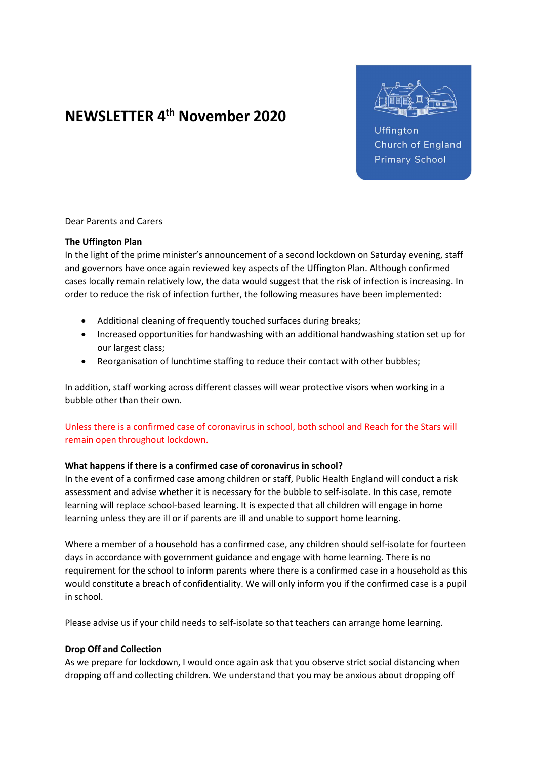# NEWSLETTER 4th November 2020



Uffington Church of England **Primary School** 

Dear Parents and Carers

### The Uffington Plan

In the light of the prime minister's announcement of a second lockdown on Saturday evening, staff and governors have once again reviewed key aspects of the Uffington Plan. Although confirmed cases locally remain relatively low, the data would suggest that the risk of infection is increasing. In order to reduce the risk of infection further, the following measures have been implemented:

- Additional cleaning of frequently touched surfaces during breaks;
- Increased opportunities for handwashing with an additional handwashing station set up for our largest class;
- Reorganisation of lunchtime staffing to reduce their contact with other bubbles;

In addition, staff working across different classes will wear protective visors when working in a bubble other than their own.

Unless there is a confirmed case of coronavirus in school, both school and Reach for the Stars will remain open throughout lockdown.

## What happens if there is a confirmed case of coronavirus in school?

In the event of a confirmed case among children or staff, Public Health England will conduct a risk assessment and advise whether it is necessary for the bubble to self-isolate. In this case, remote learning will replace school-based learning. It is expected that all children will engage in home learning unless they are ill or if parents are ill and unable to support home learning.

Where a member of a household has a confirmed case, any children should self-isolate for fourteen days in accordance with government guidance and engage with home learning. There is no requirement for the school to inform parents where there is a confirmed case in a household as this would constitute a breach of confidentiality. We will only inform you if the confirmed case is a pupil in school.

Please advise us if your child needs to self-isolate so that teachers can arrange home learning.

## Drop Off and Collection

As we prepare for lockdown, I would once again ask that you observe strict social distancing when dropping off and collecting children. We understand that you may be anxious about dropping off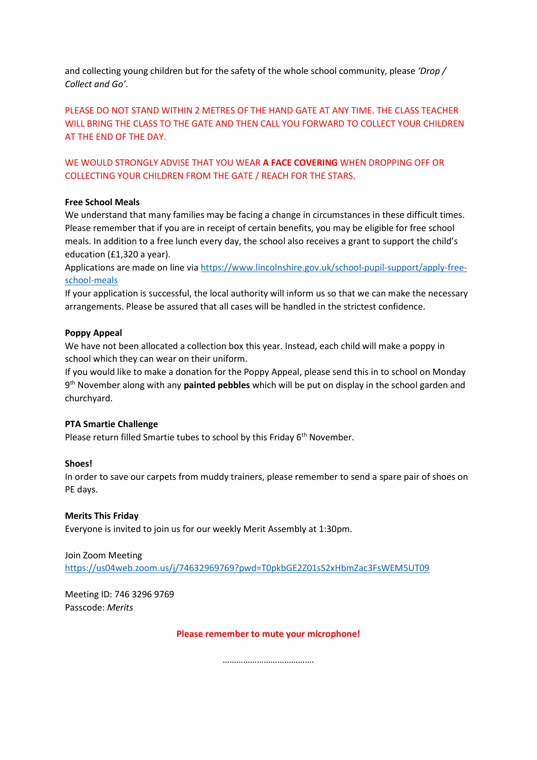and collecting young children but for the safety of the whole school community, please 'Drop / Collect and Go'.

PLEASE DO NOT STAND WITHIN 2 METRES OF THE HAND GATE AT ANY TIME. THE CLASS TEACHER WILL BRING THE CLASS TO THE GATE AND THEN CALL YOU FORWARD TO COLLECT YOUR CHILDREN AT THE END OF THE DAY.

WE WOULD STRONGLY ADVISE THAT YOU WEAR A FACE COVERING WHEN DROPPING OFF OR COLLECTING YOUR CHILDREN FROM THE GATE / REACH FOR THE STARS.

## Free School Meals

We understand that many families may be facing a change in circumstances in these difficult times. Please remember that if you are in receipt of certain benefits, you may be eligible for free school meals. In addition to a free lunch every day, the school also receives a grant to support the child's education (£1,320 a year).

Applications are made on line via https://www.lincolnshire.gov.uk/school-pupil-support/apply-freeschool-meals

If your application is successful, the local authority will inform us so that we can make the necessary arrangements. Please be assured that all cases will be handled in the strictest confidence.

## Poppy Appeal

We have not been allocated a collection box this year. Instead, each child will make a poppy in school which they can wear on their uniform.

If you would like to make a donation for the Poppy Appeal, please send this in to school on Monday 9<sup>th</sup> November along with any **painted pebbles** which will be put on display in the school garden and churchyard.

## PTA Smartie Challenge

Please return filled Smartie tubes to school by this Friday 6<sup>th</sup> November.

## Shoes!

In order to save our carpets from muddy trainers, please remember to send a spare pair of shoes on PE days.

## Merits This Friday

Everyone is invited to join us for our weekly Merit Assembly at 1:30pm.

## Join Zoom Meeting

https://us04web.zoom.us/j/74632969769?pwd=T0pkbGE2Z01sS2xHbmZac3FsWEM5UT09

Meeting ID: 746 3296 9769 Passcode: Merits

Please remember to mute your microphone!

……………………………………